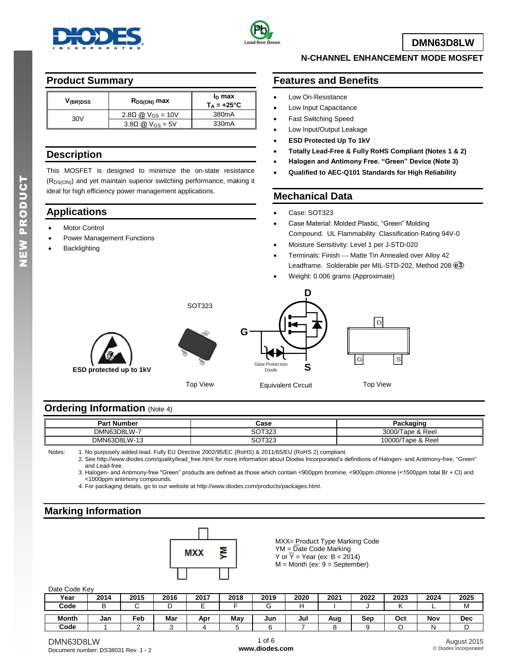



**DMN63D8LW**

### **Product Summary**

| V <sub>(BR)</sub> DSS | $R_{DS(ON)}$ max                   | $I_D$ max<br>$T_A = +25^{\circ}C$ |
|-----------------------|------------------------------------|-----------------------------------|
| 30V                   | 2.80 @ $V_{GS} = 10V$              | 380 <sub>m</sub> A                |
|                       | $3.8\Omega$ @ V <sub>GS</sub> = 5V | 330 <sub>m</sub> A                |

### **Description**

This MOSFET is designed to minimize the on-state resistance (R<sub>DS(ON)</sub>) and yet maintain superior switching performance, making it ideal for high efficiency power management applications.

## **Applications**

- Motor Control
- Power Management Functions
- Backlighting

### **N-CHANNEL ENHANCEMENT MODE MOSFET**

## **Features and Benefits**

- Low On-Resistance
- Low Input Capacitance
- Fast Switching Speed
- Low Input/Output Leakage
- **ESD Protected Up To 1kV**
- **Totally Lead-Free & Fully RoHS Compliant (Notes 1 & 2)**
- **Halogen and Antimony Free. "Green" Device (Note 3)**
- **Qualified to AEC-Q101 Standards for High Reliability**

### **Mechanical Data**

- Case: SOT323
- Case Material: Molded Plastic, "Green" Molding Compound. UL Flammability Classification Rating 94V-0
- Moisture Sensitivity: Level 1 per J-STD-020
- Terminals: Finish Matte Tin Annealed over Alloy 42 Leadframe. Solderable per MIL-STD-202, Method 208 **e3**
- Weight: 0.006 grams (Approximate)





SOT323

Top View



Top View

## **Ordering Information** (Note 4)

| <b>Part Number</b> | Case                                          | Packaging            |
|--------------------|-----------------------------------------------|----------------------|
| DMN63D8LW-7        | $\sim$ $\sim$ $\sim$ $\sim$<br>$\sim$<br>،∠د. | 3000/<br>Tape & Reel |
| DMN63D8LW-13       | $\sim$ $\sim$ $\sim$<br>$\sim$<br>،∠ت<br>,,,  | 10000/Tape & Reel    |

Notes: 1. No purposely added lead. Fully EU Directive 2002/95/EC (RoHS) & 2011/65/EU (RoHS 2) compliant.

2. See [http://www.diodes.com/quality/lead\\_free.html](http://www.diodes.com/quality/lead_free.html) for more information about Diodes Incorporated's definitions of Halogen- and Antimony-free, "Green" and Lead-free.

3. Halogen- and Antimony-free "Green" products are defined as those which contain <900ppm bromine, <900ppm chlorine (<1500ppm total Br + Cl) and <1000ppm antimony compounds.

4. For packaging details, go to our website at [http://www.diodes.com/products/packages.html.](http://www.diodes.com/products/packages.html)

## **Marking Information**



MXX= Product Type Marking Code YM = Date Code Marking Y or  $\overline{Y}$  = Year (ex: B = 2014)  $M =$  Month (ex:  $9 =$  September)

#### Date Code Key

| $         -$ |      |      |      |      |      |      |      |      |      |      |      |            |
|--------------|------|------|------|------|------|------|------|------|------|------|------|------------|
| Year         | 2014 | 2015 | 2016 | 2017 | 2018 | 2019 | 2020 | 2021 | 2022 | 2023 | 2024 | 2025       |
| Code         |      |      | ╺    |      |      |      |      |      |      |      |      | M          |
|              |      |      |      |      |      |      |      |      |      |      |      |            |
| <b>Month</b> | Jan  | Feb  | Mar  | Apr  | Mav  | Jur  | Jul  | Aug  | Sep  | Oct  | Nov  | <b>Dec</b> |
| Code         |      |      |      |      |      |      |      |      |      |      | N    |            |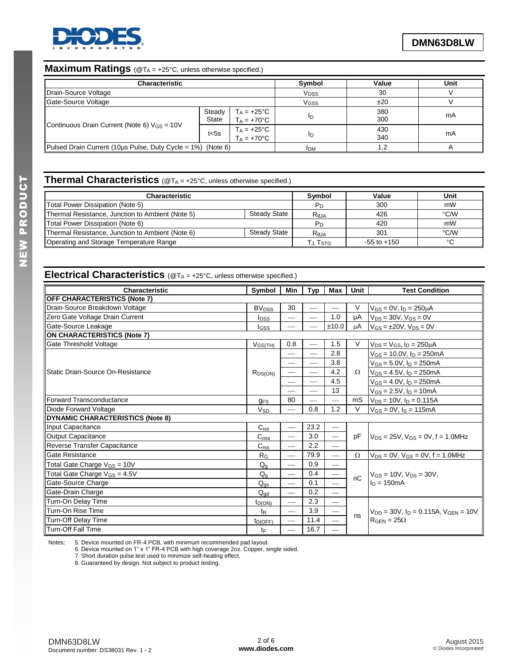

## **Maximum Ratings** (@T<sub>A</sub> = +25°C, unless otherwise specified.)

| <b>Characteristic</b>                                           |                        | Symbol                                       | Value      | Unit       |    |
|-----------------------------------------------------------------|------------------------|----------------------------------------------|------------|------------|----|
| Drain-Source Voltage                                            |                        | <b>V<sub>DSS</sub></b>                       | 30         |            |    |
| Gate-Source Voltage                                             |                        | <b>V<sub>GSS</sub></b>                       | ±20        |            |    |
|                                                                 | Steady<br><b>State</b> | $T_A = +25^{\circ}C$<br>$T_A = +70^{\circ}C$ | ID         | 380<br>300 | mA |
| Continuous Drain Current (Note 6) $V_{GS} = 10V$                | $t<$ 5s                | $T_A = +25^{\circ}C$<br>$T_A = +70^{\circ}C$ | ΙD         | 430<br>340 | mA |
| Pulsed Drain Current (10us Pulse, Duty Cycle = $1\%$ ) (Note 6) |                        |                                              | <b>IDM</b> | 1.2        |    |

# **Thermal Characteristics** (@T<sub>A</sub> = +25°C, unless otherwise specified.)

| <b>Characteristic</b>                            |              | <b>Symbol</b>    | Value           | Unit   |
|--------------------------------------------------|--------------|------------------|-----------------|--------|
| Total Power Dissipation (Note 5)                 |              |                  | 300             | mW     |
| Thermal Resistance, Junction to Ambient (Note 5) | Steady State | R <sub>0JA</sub> | 426             | °C/W   |
| Total Power Dissipation (Note 6)                 |              | Pв               | 420             | mW     |
| Thermal Resistance, Junction to Ambient (Note 6) | Steady State | $R_{0,IA}$       | 301             | °C/W   |
| Operating and Storage Temperature Range          |              | Гл. Tsтg.        | $-55$ to $+150$ | $\sim$ |

## **Electrical Characteristics** (@T<sub>A</sub> = +25°C, unless otherwise specified.)

| Characteristic                           | Symbol                  | Min                      | <b>Typ</b> | Max                      | Unit     | <b>Test Condition</b>                           |  |
|------------------------------------------|-------------------------|--------------------------|------------|--------------------------|----------|-------------------------------------------------|--|
| <b>OFF CHARACTERISTICS (Note 7)</b>      |                         |                          |            |                          |          |                                                 |  |
| Drain-Source Breakdown Voltage           | <b>BV<sub>DSS</sub></b> | 30                       |            |                          | V        | $V_{GS} = 0V$ , $I_D = 250 \mu A$               |  |
| Zero Gate Voltage Drain Current          | <b>I</b> <sub>DSS</sub> | $\overline{\phantom{0}}$ |            | 1.0                      | μA       | $V_{DS}$ = 30V, $V_{GS}$ = 0V                   |  |
| Gate-Source Leakage                      | I <sub>GSS</sub>        |                          |            | ±10.0                    | цA       | $V_{GS} = \pm 20V$ , $V_{DS} = 0V$              |  |
| ON CHARACTERISTICS (Note 7)              |                         |                          |            |                          |          |                                                 |  |
| Gate Threshold Voltage                   | V <sub>GS(TH)</sub>     | 0.8                      |            | 1.5                      | V        | $V_{DS} = V_{GS}$ , $I_D = 250 \mu A$           |  |
|                                          |                         |                          |            | 2.8                      |          | $V_{GS}$ = 10.0V, $I_D$ = 250mA                 |  |
|                                          |                         |                          |            | 3.8                      |          | $V_{GS} = 5.0 V, I_D = 250 mA$                  |  |
| Static Drain-Source On-Resistance        | $R_{DS(ON)}$            |                          |            | 4.2                      | Ω        | $V_{GS} = 4.5V$ , $I_D = 250mA$                 |  |
|                                          |                         | $\overline{\phantom{0}}$ |            | 4.5                      |          | $V_{GS} = 4.0 V, I_D = 250 mA$                  |  |
|                                          |                         |                          |            | 13                       |          | $V_{GS} = 2.5V$ , $I_D = 10mA$                  |  |
| Forward Transconductance                 | <b>GFS</b>              | 80                       |            |                          | mS       | $V_{DS} = 10V$ , $I_D = 0.115A$                 |  |
| Diode Forward Voltage                    | <b>V<sub>SD</sub></b>   |                          | 0.8        | 1.2                      | V        | $V_{GS} = 0V$ , $I_S = 115mA$                   |  |
| DYNAMIC CHARACTERISTICS (Note 8)         |                         |                          |            |                          |          |                                                 |  |
| Input Capacitance                        | $C$ iss                 |                          | 23.2       |                          |          |                                                 |  |
| Output Capacitance                       | $C_{\rm oss}$           |                          | 3.0        |                          | pF       | $V_{DS}$ = 25V, $V_{GS}$ = 0V, f = 1.0MHz       |  |
| Reverse Transfer Capacitance             | C <sub>rss</sub>        | $\overline{\phantom{0}}$ | 2.2        |                          |          |                                                 |  |
| Gate Resistance                          | R <sub>G</sub>          | $\overline{\phantom{0}}$ | 79.9       | $\overline{\phantom{0}}$ | $\Omega$ | $V_{DS} = 0V$ , $V_{GS} = 0V$ , $f = 1.0 MHz$   |  |
| Total Gate Charge $V_{GS} = 10V$         | $Q_g$                   |                          | 0.9        |                          |          |                                                 |  |
| Total Gate Charge V <sub>GS</sub> = 4.5V | $Q_{q}$                 | $\overline{\phantom{0}}$ | 0.4        |                          | nC       | $V_{GS} = 10V$ , $V_{DS} = 30V$ ,               |  |
| Gate-Source Charge                       | $Q_{gs}$                |                          | 0.1        |                          |          | $ln = 150mA$                                    |  |
| Gate-Drain Charge                        | $Q_{dd}$                | $\overline{\phantom{0}}$ | 0.2        |                          |          |                                                 |  |
| Turn-On Delay Time                       | $t_{D(ON)}$             |                          | 2.3        |                          |          |                                                 |  |
| Turn-On Rise Time                        | t <sub>R</sub>          | $\overline{\phantom{0}}$ | 3.9        | $\overline{\phantom{0}}$ |          | $V_{DD}$ = 30V, $I_D$ = 0.115A, $V_{GEN}$ = 10V |  |
| Turn-Off Delay Time                      | $t_{D(OFF)}$            | $\overline{\phantom{0}}$ | 11.4       |                          | ns       | $R_{\text{GEN}} = 25\Omega$                     |  |
| Turn-Off Fall Time                       | tF                      |                          | 16.7       |                          |          |                                                 |  |

Notes: 5. Device mounted on FR-4 PCB, with minimum recommended pad layout.

6. Device mounted on 1" x 1" FR-4 PCB with high coverage 2oz. Copper, single sided.

7. Short duration pulse test used to minimize self-heating effect.

8. Guaranteed by design. Not subject to product testing.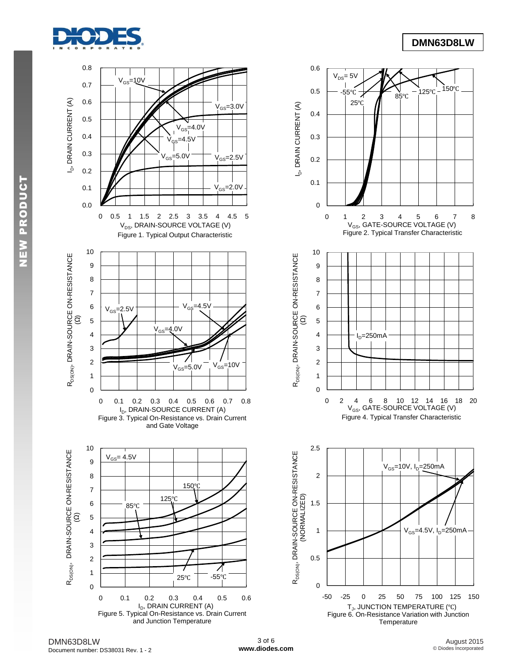

## **DMN63D8LW**



DMN63D8LW Document number: DS38031 Rev. 1 - 2

3 of 6 **[www.diodes.com](http://www.diodes.com)**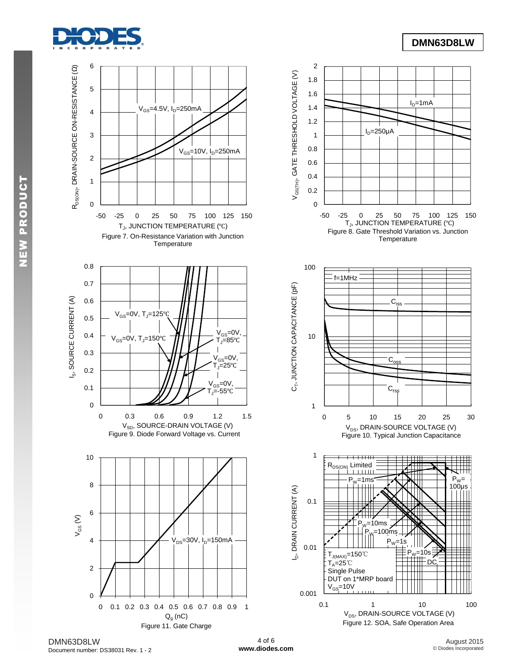



DMN63D8LW Document number: DS38031 Rev. 1 - 2

4 of 6 **[www.diodes.com](http://www.diodes.com)**

August 2015 © Diodes Incorporated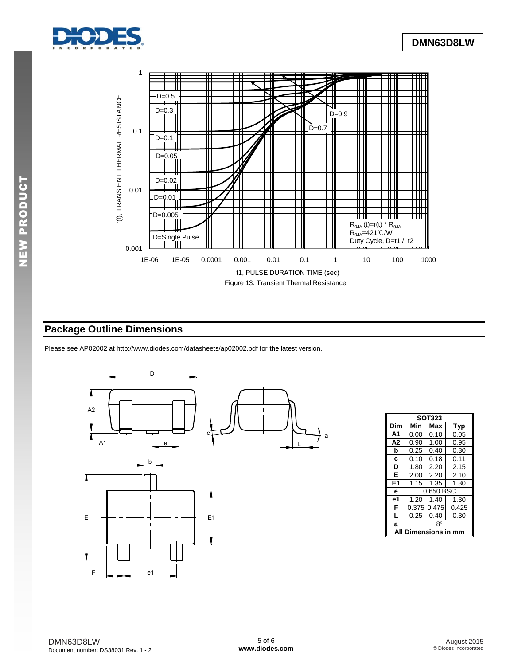



## **Package Outline Dimensions**

Please see AP02002 at [http://www.diodes.com/datasheets/ap02002.pdf fo](http://www.diodes.com/datasheets/ap02002.pdf)r the latest version.



| <b>SOT323</b>  |                           |                |      |  |  |  |  |  |
|----------------|---------------------------|----------------|------|--|--|--|--|--|
| Dim            | Min<br>Max<br><b>Typ</b>  |                |      |  |  |  |  |  |
| A <sub>1</sub> | 0.00                      | 0.10           | 0.05 |  |  |  |  |  |
| A <sub>2</sub> | 0.90                      | 1.00           | 0.95 |  |  |  |  |  |
| b              | 0.25                      | 0.40           | 0.30 |  |  |  |  |  |
| C              | 0.10                      | 0.18           | 0.11 |  |  |  |  |  |
| D              | 1.80                      | 2.20           | 2.15 |  |  |  |  |  |
| Е              | 2.00                      | 2.20           | 2.10 |  |  |  |  |  |
| E <sub>1</sub> | 1.15                      | 1.30           |      |  |  |  |  |  |
| e              |                           | 0.650 BSC      |      |  |  |  |  |  |
| e1             | 1.20                      | 1.40<br>1.30   |      |  |  |  |  |  |
| F              | 0.375                     | 0.475<br>0.425 |      |  |  |  |  |  |
| L              | 0.40<br>0.25<br>0.30      |                |      |  |  |  |  |  |
| a              | 8°                        |                |      |  |  |  |  |  |
|                | mensions in mm<br>All Diı |                |      |  |  |  |  |  |